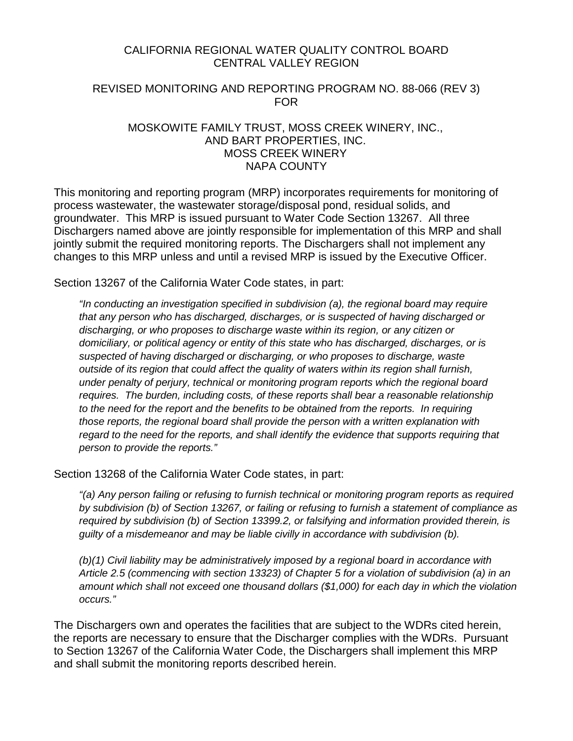## CALIFORNIA REGIONAL WATER QUALITY CONTROL BOARD CENTRAL VALLEY REGION

## REVISED MONITORING AND REPORTING PROGRAM NO. 88-066 (REV 3) FOR

#### MOSKOWITE FAMILY TRUST, MOSS CREEK WINERY, INC., AND BART PROPERTIES, INC. MOSS CREEK WINERY NAPA COUNTY

This monitoring and reporting program (MRP) incorporates requirements for monitoring of process wastewater, the wastewater storage/disposal pond, residual solids, and groundwater. This MRP is issued pursuant to Water Code Section 13267. All three Dischargers named above are jointly responsible for implementation of this MRP and shall jointly submit the required monitoring reports. The Dischargers shall not implement any changes to this MRP unless and until a revised MRP is issued by the Executive Officer.

Section 13267 of the California Water Code states, in part:

*"In conducting an investigation specified in subdivision (a), the regional board may require that any person who has discharged, discharges, or is suspected of having discharged or discharging, or who proposes to discharge waste within its region, or any citizen or domiciliary, or political agency or entity of this state who has discharged, discharges, or is suspected of having discharged or discharging, or who proposes to discharge, waste outside of its region that could affect the quality of waters within its region shall furnish, under penalty of perjury, technical or monitoring program reports which the regional board requires. The burden, including costs, of these reports shall bear a reasonable relationship to the need for the report and the benefits to be obtained from the reports. In requiring those reports, the regional board shall provide the person with a written explanation with regard to the need for the reports, and shall identify the evidence that supports requiring that person to provide the reports."*

Section 13268 of the California Water Code states, in part:

*"(a) Any person failing or refusing to furnish technical or monitoring program reports as required by subdivision (b) of Section 13267, or failing or refusing to furnish a statement of compliance as required by subdivision (b) of Section 13399.2, or falsifying and information provided therein, is guilty of a misdemeanor and may be liable civilly in accordance with subdivision (b).*

*(b)(1) Civil liability may be administratively imposed by a regional board in accordance with Article 2.5 (commencing with section 13323) of Chapter 5 for a violation of subdivision (a) in an amount which shall not exceed one thousand dollars (\$1,000) for each day in which the violation occurs."*

The Dischargers own and operates the facilities that are subject to the WDRs cited herein, the reports are necessary to ensure that the Discharger complies with the WDRs. Pursuant to Section 13267 of the California Water Code, the Dischargers shall implement this MRP and shall submit the monitoring reports described herein.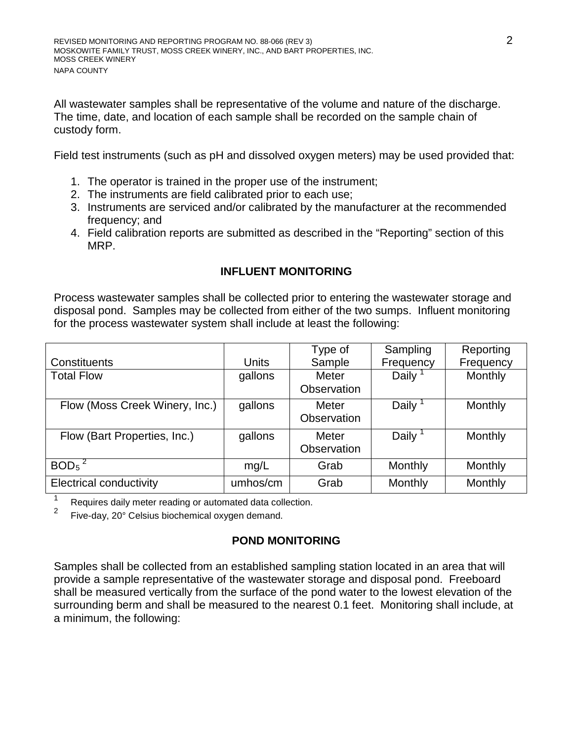All wastewater samples shall be representative of the volume and nature of the discharge. The time, date, and location of each sample shall be recorded on the sample chain of custody form.

Field test instruments (such as pH and dissolved oxygen meters) may be used provided that:

- 1. The operator is trained in the proper use of the instrument;
- 2. The instruments are field calibrated prior to each use;
- 3. Instruments are serviced and/or calibrated by the manufacturer at the recommended frequency; and
- 4. Field calibration reports are submitted as described in the "Reporting" section of this MRP.

## **INFLUENT MONITORING**

Process wastewater samples shall be collected prior to entering the wastewater storage and disposal pond. Samples may be collected from either of the two sumps. Influent monitoring for the process wastewater system shall include at least the following:

|                                |              | Type of            | Sampling  | Reporting      |
|--------------------------------|--------------|--------------------|-----------|----------------|
| Constituents                   | <b>Units</b> | Sample             | Frequency | Frequency      |
| <b>Total Flow</b>              | gallons      | Meter              | Daily     | <b>Monthly</b> |
|                                |              | Observation        |           |                |
| Flow (Moss Creek Winery, Inc.) | gallons      | Meter              | Daily     | Monthly        |
|                                |              | <b>Observation</b> |           |                |
| Flow (Bart Properties, Inc.)   | gallons      | Meter              | Daily     | Monthly        |
|                                |              | Observation        |           |                |
| $BOD5$ <sup>2</sup>            | mg/L         | Grab               | Monthly   | Monthly        |
| <b>Electrical conductivity</b> | umhos/cm     | Grab               | Monthly   | Monthly        |

<sup>1</sup> Requires daily meter reading or automated data collection.<br><sup>2</sup> Eins data 208 Colaire bioshamical automated appeal.

Five-day, 20° Celsius biochemical oxygen demand.

## **POND MONITORING**

Samples shall be collected from an established sampling station located in an area that will provide a sample representative of the wastewater storage and disposal pond. Freeboard shall be measured vertically from the surface of the pond water to the lowest elevation of the surrounding berm and shall be measured to the nearest 0.1 feet. Monitoring shall include, at a minimum, the following: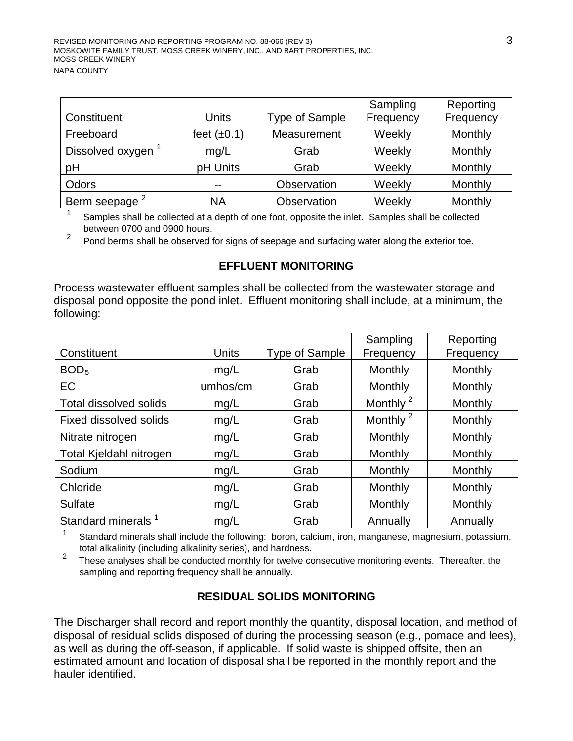|                               |                  |                | Sampling  | Reporting |
|-------------------------------|------------------|----------------|-----------|-----------|
| Constituent                   | Units            | Type of Sample | Frequency | Frequency |
| Freeboard                     | feet $(\pm 0.1)$ | Measurement    | Weekly    | Monthly   |
| Dissolved oxygen <sup>1</sup> | mg/L             | Grab           | Weekly    | Monthly   |
| pH                            | pH Units         | Grab           | Weekly    | Monthly   |
| Odors                         | --               | Observation    | Weekly    | Monthly   |
| Berm seepage <sup>2</sup>     | <b>NA</b>        | Observation    | Weekly    | Monthly   |

Samples shall be collected at a depth of one foot, opposite the inlet. Samples shall be collected between 0700 and 0900 hours.

 $2^{2}$  Pond berms shall be observed for signs of seepage and surfacing water along the exterior toe.

### **EFFLUENT MONITORING**

Process wastewater effluent samples shall be collected from the wastewater storage and disposal pond opposite the pond inlet. Effluent monitoring shall include, at a minimum, the following:

|                                |          |                | Sampling             | Reporting |
|--------------------------------|----------|----------------|----------------------|-----------|
| Constituent                    | Units    | Type of Sample | Frequency            | Frequency |
| BOD <sub>5</sub>               | mg/L     | Grab           | Monthly              | Monthly   |
| EC                             | umhos/cm | Grab           | Monthly              | Monthly   |
| <b>Total dissolved solids</b>  | mg/L     | Grab           | Monthly <sup>2</sup> | Monthly   |
| <b>Fixed dissolved solids</b>  | mg/L     | Grab           | Monthly <sup>2</sup> | Monthly   |
| Nitrate nitrogen               | mg/L     | Grab           | Monthly              | Monthly   |
| Total Kjeldahl nitrogen        | mg/L     | Grab           | Monthly              | Monthly   |
| Sodium                         | mg/L     | Grab           | Monthly              | Monthly   |
| Chloride                       | mg/L     | Grab           | Monthly              | Monthly   |
| <b>Sulfate</b>                 | mg/L     | Grab           | Monthly              | Monthly   |
| Standard minerals <sup>1</sup> | mg/L     | Grab           | Annually             | Annually  |

<sup>1</sup> Standard minerals shall include the following: boron, calcium, iron, manganese, magnesium, potassium,

total alkalinity (including alkalinity series), and hardness.<br><sup>2</sup> These analyses shall be conducted monthly for twelve consecutive monitoring events. Thereafter, the sampling and reporting frequency shall be annually.

## **RESIDUAL SOLIDS MONITORING**

The Discharger shall record and report monthly the quantity, disposal location, and method of disposal of residual solids disposed of during the processing season (e.g., pomace and lees), as well as during the off-season, if applicable. If solid waste is shipped offsite, then an estimated amount and location of disposal shall be reported in the monthly report and the hauler identified.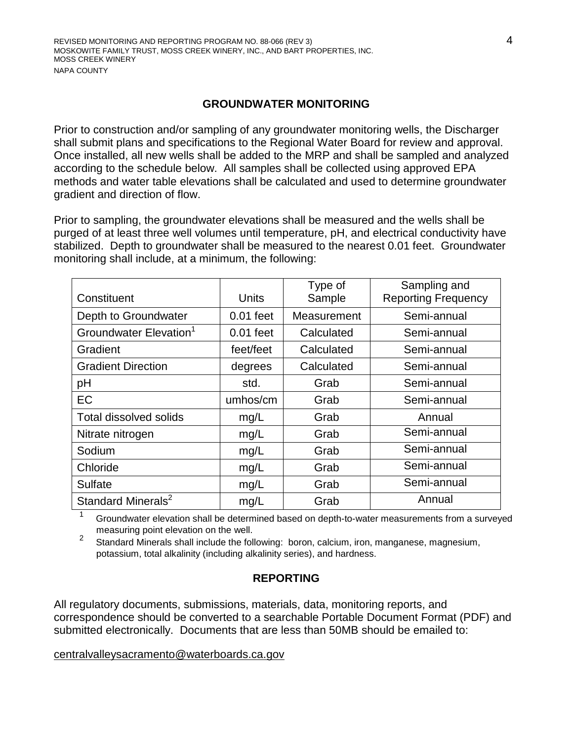#### **GROUNDWATER MONITORING**

Prior to construction and/or sampling of any groundwater monitoring wells, the Discharger shall submit plans and specifications to the Regional Water Board for review and approval. Once installed, all new wells shall be added to the MRP and shall be sampled and analyzed according to the schedule below. All samples shall be collected using approved EPA methods and water table elevations shall be calculated and used to determine groundwater gradient and direction of flow.

Prior to sampling, the groundwater elevations shall be measured and the wells shall be purged of at least three well volumes until temperature, pH, and electrical conductivity have stabilized. Depth to groundwater shall be measured to the nearest 0.01 feet. Groundwater monitoring shall include, at a minimum, the following:

| Constituent                        | <b>Units</b> | Type of<br>Sample | Sampling and<br><b>Reporting Frequency</b> |
|------------------------------------|--------------|-------------------|--------------------------------------------|
| Depth to Groundwater               | $0.01$ feet  | Measurement       | Semi-annual                                |
| Groundwater Elevation <sup>1</sup> | $0.01$ feet  | Calculated        | Semi-annual                                |
| Gradient                           | feet/feet    | Calculated        | Semi-annual                                |
| <b>Gradient Direction</b>          | degrees      | Calculated        | Semi-annual                                |
| pH                                 | std.         | Grab              | Semi-annual                                |
| EC                                 | umhos/cm     | Grab              | Semi-annual                                |
| <b>Total dissolved solids</b>      | mg/L         | Grab              | Annual                                     |
| Nitrate nitrogen                   | mg/L         | Grab              | Semi-annual                                |
| Sodium                             | mg/L         | Grab              | Semi-annual                                |
| Chloride                           | mg/L         | Grab              | Semi-annual                                |
| <b>Sulfate</b>                     | mg/L         | Grab              | Semi-annual                                |
| Standard Minerals <sup>2</sup>     | mg/L         | Grab              | Annual                                     |

 $1$  Groundwater elevation shall be determined based on depth-to-water measurements from a surveyed

measuring point elevation on the well.<br><sup>2</sup> Standard Minerals shall include the following: boron, calcium, iron, manganese, magnesium, potassium, total alkalinity (including alkalinity series), and hardness.

## **REPORTING**

All regulatory documents, submissions, materials, data, monitoring reports, and correspondence should be converted to a searchable Portable Document Format (PDF) and submitted electronically. Documents that are less than 50MB should be emailed to:

#### [centralvalleysacramento@waterboards.ca.gov](mailto:centralvalleysacramento@waterboards.ca.gov)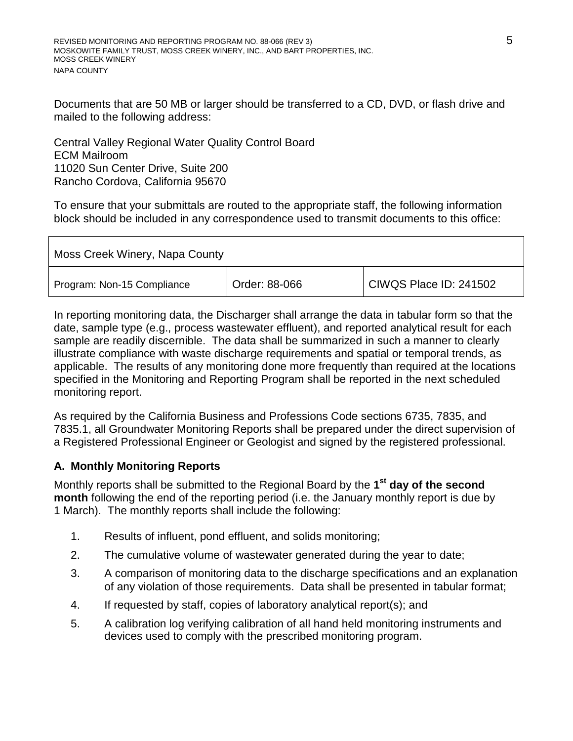Documents that are 50 MB or larger should be transferred to a CD, DVD, or flash drive and mailed to the following address:

Central Valley Regional Water Quality Control Board ECM Mailroom 11020 Sun Center Drive, Suite 200 Rancho Cordova, California 95670

To ensure that your submittals are routed to the appropriate staff, the following information block should be included in any correspondence used to transmit documents to this office:

| Moss Creek Winery, Napa County |               |                        |  |  |
|--------------------------------|---------------|------------------------|--|--|
| Program: Non-15 Compliance     | Order: 88-066 | CIWQS Place ID: 241502 |  |  |

In reporting monitoring data, the Discharger shall arrange the data in tabular form so that the date, sample type (e.g., process wastewater effluent), and reported analytical result for each sample are readily discernible. The data shall be summarized in such a manner to clearly illustrate compliance with waste discharge requirements and spatial or temporal trends, as applicable. The results of any monitoring done more frequently than required at the locations specified in the Monitoring and Reporting Program shall be reported in the next scheduled monitoring report.

As required by the California Business and Professions Code sections 6735, 7835, and 7835.1, all Groundwater Monitoring Reports shall be prepared under the direct supervision of a Registered Professional Engineer or Geologist and signed by the registered professional.

## **A. Monthly Monitoring Reports**

Monthly reports shall be submitted to the Regional Board by the **1st day of the second month** following the end of the reporting period (i.e. the January monthly report is due by 1 March). The monthly reports shall include the following:

- 1. Results of influent, pond effluent, and solids monitoring;
- 2. The cumulative volume of wastewater generated during the year to date;
- 3. A comparison of monitoring data to the discharge specifications and an explanation of any violation of those requirements. Data shall be presented in tabular format;
- 4. If requested by staff, copies of laboratory analytical report(s); and
- 5. A calibration log verifying calibration of all hand held monitoring instruments and devices used to comply with the prescribed monitoring program.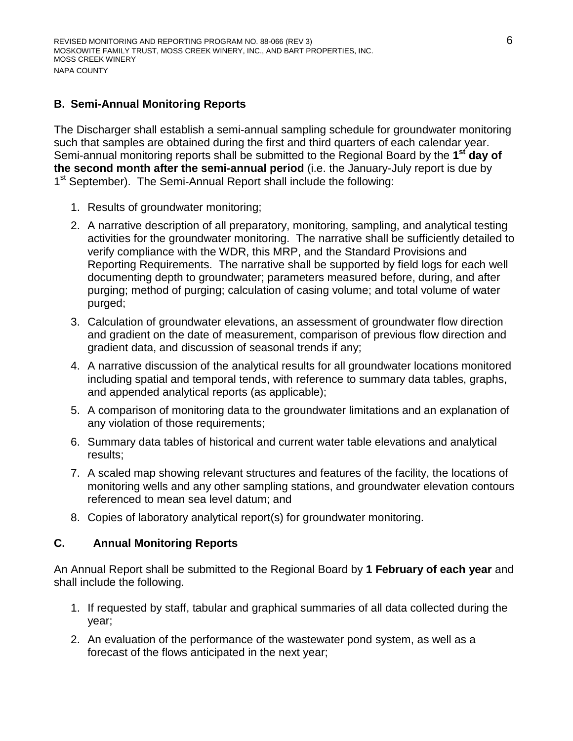# **B. Semi-Annual Monitoring Reports**

The Discharger shall establish a semi-annual sampling schedule for groundwater monitoring such that samples are obtained during the first and third quarters of each calendar year. Semi-annual monitoring reports shall be submitted to the Regional Board by the **1st day of the second month after the semi-annual period** (i.e. the January-July report is due by 1<sup>st</sup> September). The Semi-Annual Report shall include the following:

- 1. Results of groundwater monitoring;
- 2. A narrative description of all preparatory, monitoring, sampling, and analytical testing activities for the groundwater monitoring. The narrative shall be sufficiently detailed to verify compliance with the WDR, this MRP, and the Standard Provisions and Reporting Requirements. The narrative shall be supported by field logs for each well documenting depth to groundwater; parameters measured before, during, and after purging; method of purging; calculation of casing volume; and total volume of water purged;
- 3. Calculation of groundwater elevations, an assessment of groundwater flow direction and gradient on the date of measurement, comparison of previous flow direction and gradient data, and discussion of seasonal trends if any;
- 4. A narrative discussion of the analytical results for all groundwater locations monitored including spatial and temporal tends, with reference to summary data tables, graphs, and appended analytical reports (as applicable);
- 5. A comparison of monitoring data to the groundwater limitations and an explanation of any violation of those requirements;
- 6. Summary data tables of historical and current water table elevations and analytical results;
- 7. A scaled map showing relevant structures and features of the facility, the locations of monitoring wells and any other sampling stations, and groundwater elevation contours referenced to mean sea level datum; and
- 8. Copies of laboratory analytical report(s) for groundwater monitoring.

## **C. Annual Monitoring Reports**

An Annual Report shall be submitted to the Regional Board by **1 February of each year** and shall include the following.

- 1. If requested by staff, tabular and graphical summaries of all data collected during the year;
- 2. An evaluation of the performance of the wastewater pond system, as well as a forecast of the flows anticipated in the next year;